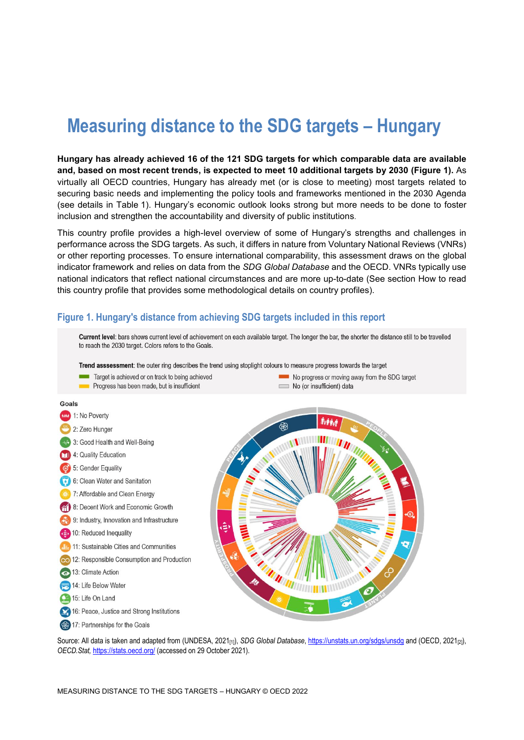# **Measuring distance to the SDG targets – Hungary**

**Hungary has already achieved 16 of the 121 SDG targets for which comparable data are available and, based on most recent trends, is expected to meet 10 additional targets by 2030 [\(Figure](#page-0-0) 1).** As virtually all OECD countries, Hungary has already met (or is close to meeting) most targets related to securing basic needs and implementing the policy tools and frameworks mentioned in the 2030 Agenda (see details in [Table](#page-3-0) 1). Hungary's economic outlook looks strong but more needs to be done to foster inclusion and strengthen the accountability and diversity of public institutions.

This country profile provides a high-level overview of some of Hungary's strengths and challenges in performance across the SDG targets. As such, it differs in nature from Voluntary National Reviews (VNRs) or other reporting processes. To ensure international comparability, this assessment draws on the global indicator framework and relies on data from the *SDG Global Database* and the OECD. VNRs typically use national indicators that reflect national circumstances and are more up-to-date (See section [How to read](#page-7-0)  this [country profile](#page-7-0) that provides some methodological details on country profiles).

#### <span id="page-0-0"></span>**Figure 1. Hungary's distance from achieving SDG targets included in this report**



Source: All data is taken and adapted from (UNDESA, 2021<sub>[1]</sub>), *SDG Global Database*[, https://unstats.un.org/sdgs/unsdg](https://unstats.un.org/sdgs/unsdg) and (OECD, 2021<sub>[2]</sub>), *OECD.Stat,* <https://stats.oecd.org/> (accessed on 29 October 2021).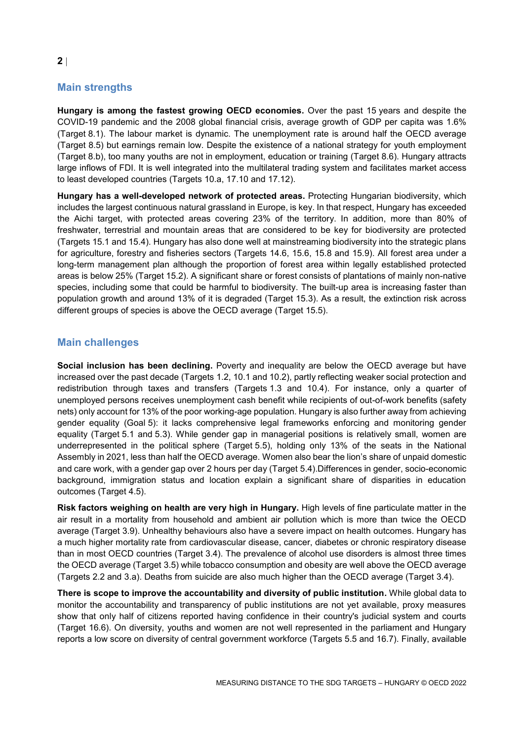# **Main strengths**

**Hungary is among the fastest growing OECD economies.** Over the past 15 years and despite the COVID-19 pandemic and the 2008 global financial crisis, average growth of GDP per capita was 1.6% (Target 8.1). The labour market is dynamic. The unemployment rate is around half the OECD average (Target 8.5) but earnings remain low. Despite the existence of a national strategy for youth employment (Target 8.b), too many youths are not in employment, education or training (Target 8.6). Hungary attracts large inflows of FDI. It is well integrated into the multilateral trading system and facilitates market access to least developed countries (Targets 10.a, 17.10 and 17.12).

**Hungary has a well-developed network of protected areas.** Protecting Hungarian biodiversity, which includes the largest continuous natural grassland in Europe, is key. In that respect, Hungary has exceeded the Aichi target, with protected areas covering 23% of the territory. In addition, more than 80% of freshwater, terrestrial and mountain areas that are considered to be key for biodiversity are protected (Targets 15.1 and 15.4). Hungary has also done well at mainstreaming biodiversity into the strategic plans for agriculture, forestry and fisheries sectors (Targets 14.6, 15.6, 15.8 and 15.9). All forest area under a long-term management plan although the proportion of forest area within legally established protected areas is below 25% (Target 15.2). A significant share or forest consists of plantations of mainly non-native species, including some that could be harmful to biodiversity. The built-up area is increasing faster than population growth and around 13% of it is degraded (Target 15.3). As a result, the extinction risk across different groups of species is above the OECD average (Target 15.5).

# **Main challenges**

**Social inclusion has been declining.** Poverty and inequality are below the OECD average but have increased over the past decade (Targets 1.2, 10.1 and 10.2), partly reflecting weaker social protection and redistribution through taxes and transfers (Targets 1.3 and 10.4). For instance, only a quarter of unemployed persons receives unemployment cash benefit while recipients of out-of-work benefits (safety nets) only account for 13% of the poor working-age population. Hungary is also further away from achieving gender equality (Goal 5): it lacks comprehensive legal frameworks enforcing and monitoring gender equality (Target 5.1 and 5.3). While gender gap in managerial positions is relatively small, women are underrepresented in the political sphere (Target 5.5), holding only 13% of the seats in the National Assembly in 2021, less than half the OECD average. Women also bear the lion's share of unpaid domestic and care work, with a gender gap over 2 hours per day (Target 5.4).Differences in gender, socio-economic background, immigration status and location explain a significant share of disparities in education outcomes (Target 4.5).

**Risk factors weighing on health are very high in Hungary.** High levels of fine particulate matter in the air result in a mortality from household and ambient air pollution which is more than twice the OECD average (Target 3.9). Unhealthy behaviours also have a severe impact on health outcomes. Hungary has a much higher mortality rate from cardiovascular disease, cancer, diabetes or chronic respiratory disease than in most OECD countries (Target 3.4). The prevalence of alcohol use disorders is almost three times the OECD average (Target 3.5) while tobacco consumption and obesity are well above the OECD average (Targets 2.2 and 3.a). Deaths from suicide are also much higher than the OECD average (Target 3.4).

**There is scope to improve the accountability and diversity of public institution.** While global data to monitor the accountability and transparency of public institutions are not yet available, proxy measures show that only half of citizens reported having confidence in their country's judicial system and courts (Target 16.6). On diversity, youths and women are not well represented in the parliament and Hungary reports a low score on diversity of central government workforce (Targets 5.5 and 16.7). Finally, available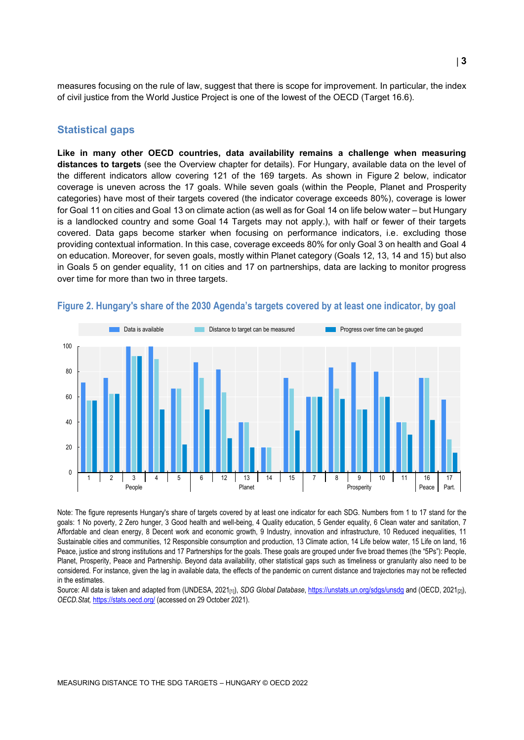measures focusing on the rule of law, suggest that there is scope for improvement. In particular, the index of civil justice from the World Justice Project is one of the lowest of the OECD (Target 16.6).

#### **Statistical gaps**

**Like in many other OECD countries, data availability remains a challenge when measuring distances to targets** (see the Overview chapter for details). For Hungary, available data on the level of the different indicators allow covering 121 of the 169 targets. As shown in [Figure](#page-2-0) 2 below, indicator coverage is uneven across the 17 goals. While seven goals (within the People, Planet and Prosperity categories) have most of their targets covered (the indicator coverage exceeds 80%), coverage is lower for Goal 11 on cities and Goal 13 on climate action (as well as for Goal 14 on life below water – but Hungary is a landlocked country and some Goal 14 Targets may not apply.), with half or fewer of their targets covered. Data gaps become starker when focusing on performance indicators, i.e. excluding those providing contextual information. In this case, coverage exceeds 80% for only Goal 3 on health and Goal 4 on education. Moreover, for seven goals, mostly within Planet category (Goals 12, 13, 14 and 15) but also in Goals 5 on gender equality, 11 on cities and 17 on partnerships, data are lacking to monitor progress over time for more than two in three targets.



#### <span id="page-2-0"></span>**Figure 2. Hungary's share of the 2030 Agenda's targets covered by at least one indicator, by goal**

Note: The figure represents Hungary's share of targets covered by at least one indicator for each SDG. Numbers from 1 to 17 stand for the goals: 1 No poverty, 2 Zero hunger, 3 Good health and well-being, 4 Quality education, 5 Gender equality, 6 Clean water and sanitation, 7 Affordable and clean energy, 8 Decent work and economic growth, 9 Industry, innovation and infrastructure, 10 Reduced inequalities, 11 Sustainable cities and communities, 12 Responsible consumption and production, 13 Climate action, 14 Life below water, 15 Life on land, 16 Peace, justice and strong institutions and 17 Partnerships for the goals. These goals are grouped under five broad themes (the "5Ps"): People, Planet, Prosperity, Peace and Partnership. Beyond data availability, other statistical gaps such as timeliness or granularity also need to be considered. For instance, given the lag in available data, the effects of the pandemic on current distance and trajectories may not be reflected in the estimates.

Source: All data is taken and adapted from (UNDESA, 2021<sub>[1]</sub>), *SDG Global Database*[, https://unstats.un.org/sdgs/unsdg](https://unstats.un.org/sdgs/unsdg) and (OECD, 2021<sub>[2]</sub>), *OECD.Stat,* <https://stats.oecd.org/> (accessed on 29 October 2021).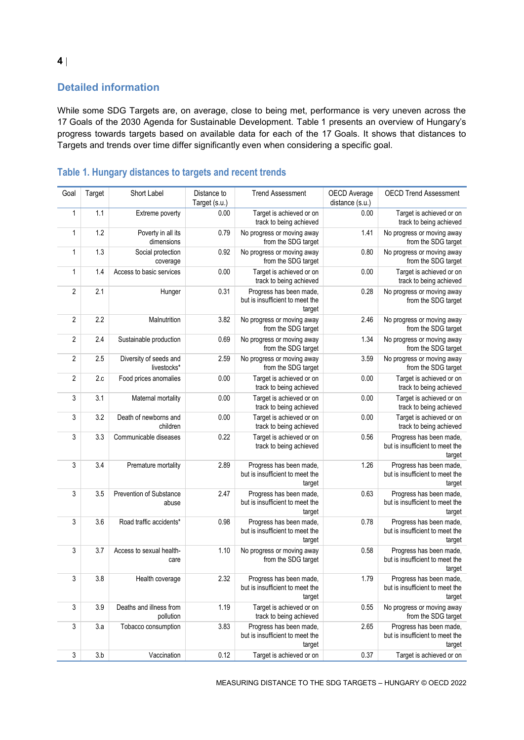# **Detailed information**

While some SDG Targets are, on average, close to being met, performance is very uneven across the 17 Goals of the 2030 Agenda for Sustainable Development. [Table](#page-3-0) 1 presents an overview of Hungary's progress towards targets based on available data for each of the 17 Goals. It shows that distances to Targets and trends over time differ significantly even when considering a specific goal.

| Goal           | Target | Short Label                           | Distance to<br>Target (s.u.) | <b>Trend Assessment</b>                                              | OECD Average<br>distance (s.u.) | <b>OECD Trend Assessment</b>                                         |
|----------------|--------|---------------------------------------|------------------------------|----------------------------------------------------------------------|---------------------------------|----------------------------------------------------------------------|
| 1              | 1.1    | Extreme poverty                       | 0.00                         | Target is achieved or on<br>track to being achieved                  | 0.00                            | Target is achieved or on<br>track to being achieved                  |
| 1              | 1.2    | Poverty in all its<br>dimensions      | 0.79                         | No progress or moving away<br>from the SDG target                    | 1.41                            | No progress or moving away<br>from the SDG target                    |
| 1              | 1.3    | Social protection<br>coverage         | 0.92                         | No progress or moving away<br>from the SDG target                    | 0.80                            | No progress or moving away<br>from the SDG target                    |
| 1              | 1.4    | Access to basic services              | 0.00                         | Target is achieved or on<br>track to being achieved                  | 0.00                            | Target is achieved or on<br>track to being achieved                  |
| $\sqrt{2}$     | 2.1    | Hunger                                | 0.31                         | Progress has been made,<br>but is insufficient to meet the<br>target | 0.28                            | No progress or moving away<br>from the SDG target                    |
| $\overline{2}$ | 2.2    | Malnutrition                          | 3.82                         | No progress or moving away<br>from the SDG target                    | 2.46                            | No progress or moving away<br>from the SDG target                    |
| 2              | 2.4    | Sustainable production                | 0.69                         | No progress or moving away<br>from the SDG target                    | 1.34                            | No progress or moving away<br>from the SDG target                    |
| $\overline{2}$ | 2.5    | Diversity of seeds and<br>livestocks* | 2.59                         | No progress or moving away<br>from the SDG target                    | 3.59                            | No progress or moving away<br>from the SDG target                    |
| $\overline{2}$ | 2.c    | Food prices anomalies                 | 0.00                         | Target is achieved or on<br>track to being achieved                  | 0.00                            | Target is achieved or on<br>track to being achieved                  |
| 3              | 3.1    | Maternal mortality                    | 0.00                         | Target is achieved or on<br>track to being achieved                  | 0.00                            | Target is achieved or on<br>track to being achieved                  |
| 3              | 3.2    | Death of newborns and<br>children     | 0.00                         | Target is achieved or on<br>track to being achieved                  | 0.00                            | Target is achieved or on<br>track to being achieved                  |
| 3              | 3.3    | Communicable diseases                 | 0.22                         | Target is achieved or on<br>track to being achieved                  | 0.56                            | Progress has been made,<br>but is insufficient to meet the<br>target |
| 3              | 3.4    | Premature mortality                   | 2.89                         | Progress has been made,<br>but is insufficient to meet the<br>target | 1.26                            | Progress has been made,<br>but is insufficient to meet the<br>target |
| 3              | 3.5    | Prevention of Substance<br>abuse      | 2.47                         | Progress has been made,<br>but is insufficient to meet the<br>target | 0.63                            | Progress has been made,<br>but is insufficient to meet the<br>target |
| 3              | 3.6    | Road traffic accidents*               | 0.98                         | Progress has been made,<br>but is insufficient to meet the<br>target | 0.78                            | Progress has been made,<br>but is insufficient to meet the<br>target |
| 3              | 3.7    | Access to sexual health-<br>care      | 1.10                         | No progress or moving away<br>from the SDG target                    | 0.58                            | Progress has been made,<br>but is insufficient to meet the<br>target |
| 3              | 3.8    | Health coverage                       | 2.32                         | Progress has been made,<br>but is insufficient to meet the<br>target | 1.79                            | Progress has been made,<br>but is insufficient to meet the<br>target |
| 3              | 3.9    | Deaths and illness from<br>pollution  | 1.19                         | Target is achieved or on<br>track to being achieved                  | 0.55                            | No progress or moving away<br>from the SDG target                    |
| 3              | 3.a    | Tobacco consumption                   | 3.83                         | Progress has been made,<br>but is insufficient to meet the<br>target | 2.65                            | Progress has been made,<br>but is insufficient to meet the<br>target |
| $\sqrt{3}$     | 3.b    | Vaccination                           | 0.12                         | Target is achieved or on                                             | 0.37                            | Target is achieved or on                                             |

# <span id="page-3-0"></span>**Table 1. Hungary distances to targets and recent trends**

MEASURING DISTANCE TO THE SDG TARGETS – HUNGARY © OECD 2022

**4**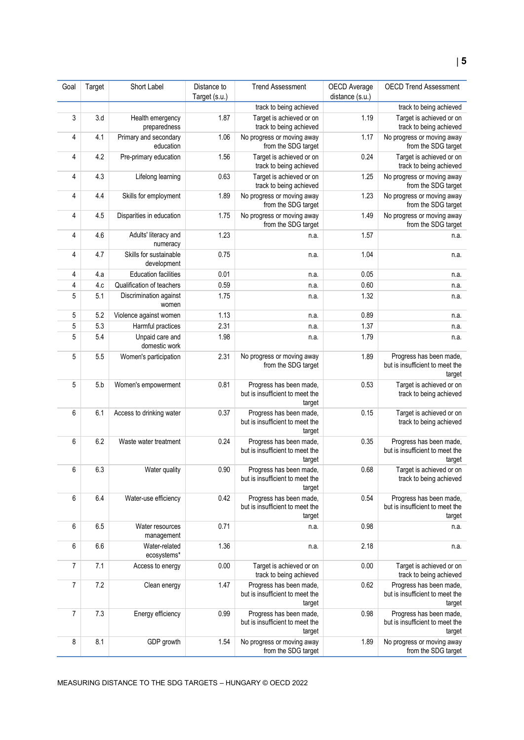| Goal | Target | Short Label                           | Distance to<br>Target (s.u.) | <b>Trend Assessment</b>                                              | OECD Average<br>distance (s.u.) | <b>OECD Trend Assessment</b>                                         |
|------|--------|---------------------------------------|------------------------------|----------------------------------------------------------------------|---------------------------------|----------------------------------------------------------------------|
|      |        |                                       |                              | track to being achieved                                              |                                 | track to being achieved                                              |
| 3    | 3.d    | Health emergency<br>preparedness      | 1.87                         | Target is achieved or on<br>track to being achieved                  | 1.19                            | Target is achieved or on<br>track to being achieved                  |
| 4    | 4.1    | Primary and secondary<br>education    | 1.06                         | No progress or moving away<br>from the SDG target                    | 1.17                            | No progress or moving away<br>from the SDG target                    |
| 4    | 4.2    | Pre-primary education                 | 1.56                         | Target is achieved or on<br>track to being achieved                  | 0.24                            | Target is achieved or on<br>track to being achieved                  |
| 4    | 4.3    | Lifelong learning                     | 0.63                         | Target is achieved or on<br>track to being achieved                  | 1.25                            | No progress or moving away<br>from the SDG target                    |
| 4    | 4.4    | Skills for employment                 | 1.89                         | No progress or moving away<br>from the SDG target                    | 1.23                            | No progress or moving away<br>from the SDG target                    |
| 4    | 4.5    | Disparities in education              | 1.75                         | No progress or moving away<br>from the SDG target                    | 1.49                            | No progress or moving away<br>from the SDG target                    |
| 4    | 4.6    | Adults' literacy and<br>numeracy      | 1.23                         | n.a.                                                                 | 1.57                            | n.a.                                                                 |
| 4    | 4.7    | Skills for sustainable<br>development | 0.75                         | n.a.                                                                 | 1.04                            | n.a.                                                                 |
| 4    | 4.a    | <b>Education facilities</b>           | 0.01                         | n.a.                                                                 | 0.05                            | n.a.                                                                 |
| 4    | 4.c    | Qualification of teachers             | 0.59                         | n.a.                                                                 | 0.60                            | n.a.                                                                 |
| 5    | 5.1    | Discrimination against<br>women       | 1.75                         | n.a.                                                                 | 1.32                            | n.a.                                                                 |
| 5    | 5.2    | Violence against women                | 1.13                         | n.a.                                                                 | 0.89                            | n.a.                                                                 |
| 5    | 5.3    | Harmful practices                     | 2.31                         | n.a.                                                                 | 1.37                            | n.a.                                                                 |
| 5    | 5.4    | Unpaid care and<br>domestic work      | 1.98                         | n.a.                                                                 | 1.79                            | n.a.                                                                 |
| 5    | 5.5    | Women's participation                 | 2.31                         | No progress or moving away<br>from the SDG target                    | 1.89                            | Progress has been made,<br>but is insufficient to meet the<br>target |
| 5    | 5.b    | Women's empowerment                   | 0.81                         | Progress has been made,<br>but is insufficient to meet the<br>target | 0.53                            | Target is achieved or on<br>track to being achieved                  |
| 6    | 6.1    | Access to drinking water              | 0.37                         | Progress has been made,<br>but is insufficient to meet the<br>target | 0.15                            | Target is achieved or on<br>track to being achieved                  |
| 6    | 6.2    | Waste water treatment                 | 0.24                         | Progress has been made,<br>but is insufficient to meet the<br>target | 0.35                            | Progress has been made,<br>but is insufficient to meet the<br>target |
| 6    | 6.3    | Water quality                         | 0.90                         | Progress has been made,<br>but is insufficient to meet the<br>target | 0.68                            | Target is achieved or on<br>track to being achieved                  |
| 6    | 6.4    | Water-use efficiency                  | 0.42                         | Progress has been made,<br>but is insufficient to meet the<br>target | 0.54                            | Progress has been made,<br>but is insufficient to meet the<br>target |
| 6    | 6.5    | Water resources<br>management         | 0.71                         | n.a.                                                                 | 0.98                            | n.a.                                                                 |
| 6    | 6.6    | Water-related<br>ecosystems*          | 1.36                         | n.a.                                                                 | 2.18                            | n.a.                                                                 |
| 7    | 7.1    | Access to energy                      | 0.00                         | Target is achieved or on<br>track to being achieved                  | 0.00                            | Target is achieved or on<br>track to being achieved                  |
| 7    | 7.2    | Clean energy                          | 1.47                         | Progress has been made,<br>but is insufficient to meet the<br>target | 0.62                            | Progress has been made,<br>but is insufficient to meet the<br>target |
| 7    | 7.3    | Energy efficiency                     | 0.99                         | Progress has been made,<br>but is insufficient to meet the<br>target | 0.98                            | Progress has been made,<br>but is insufficient to meet the<br>target |
| 8    | 8.1    | GDP growth                            | 1.54                         | No progress or moving away<br>from the SDG target                    | 1.89                            | No progress or moving away<br>from the SDG target                    |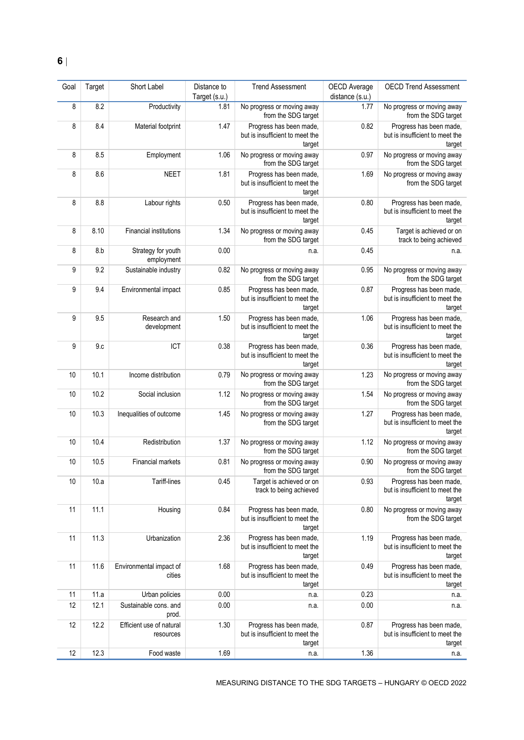| Goal | Target | Short Label                           | Distance to   | <b>Trend Assessment</b>                                              | OECD Average    | <b>OECD Trend Assessment</b>                                         |
|------|--------|---------------------------------------|---------------|----------------------------------------------------------------------|-----------------|----------------------------------------------------------------------|
|      |        |                                       | Target (s.u.) |                                                                      | distance (s.u.) |                                                                      |
| 8    | 8.2    | Productivity                          | 1.81          | No progress or moving away<br>from the SDG target                    | 1.77            | No progress or moving away<br>from the SDG target                    |
| 8    | 8.4    | Material footprint                    | 1.47          | Progress has been made,<br>but is insufficient to meet the<br>target | 0.82            | Progress has been made,<br>but is insufficient to meet the<br>target |
| 8    | 8.5    | Employment                            | 1.06          | No progress or moving away<br>from the SDG target                    | 0.97            | No progress or moving away<br>from the SDG target                    |
| 8    | 8.6    | <b>NEET</b>                           | 1.81          | Progress has been made,<br>but is insufficient to meet the<br>target | 1.69            | No progress or moving away<br>from the SDG target                    |
| 8    | 8.8    | Labour rights                         | 0.50          | Progress has been made,<br>but is insufficient to meet the<br>target | 0.80            | Progress has been made,<br>but is insufficient to meet the<br>target |
| 8    | 8.10   | Financial institutions                | 1.34          | No progress or moving away<br>from the SDG target                    | 0.45            | Target is achieved or on<br>track to being achieved                  |
| 8    | 8.b    | Strategy for youth<br>employment      | 0.00          | n.a.                                                                 | 0.45            | n.a.                                                                 |
| 9    | 9.2    | Sustainable industry                  | 0.82          | No progress or moving away<br>from the SDG target                    | 0.95            | No progress or moving away<br>from the SDG target                    |
| 9    | 9.4    | Environmental impact                  | 0.85          | Progress has been made,<br>but is insufficient to meet the<br>target | 0.87            | Progress has been made,<br>but is insufficient to meet the<br>target |
| 9    | 9.5    | Research and<br>development           | 1.50          | Progress has been made,<br>but is insufficient to meet the<br>target | 1.06            | Progress has been made,<br>but is insufficient to meet the<br>target |
| 9    | 9.c    | ICT                                   | 0.38          | Progress has been made,<br>but is insufficient to meet the<br>target | 0.36            | Progress has been made,<br>but is insufficient to meet the<br>target |
| 10   | 10.1   | Income distribution                   | 0.79          | No progress or moving away<br>from the SDG target                    | 1.23            | No progress or moving away<br>from the SDG target                    |
| 10   | 10.2   | Social inclusion                      | 1.12          | No progress or moving away<br>from the SDG target                    | 1.54            | No progress or moving away<br>from the SDG target                    |
| 10   | 10.3   | Inequalities of outcome               | 1.45          | No progress or moving away<br>from the SDG target                    | 1.27            | Progress has been made,<br>but is insufficient to meet the<br>target |
| 10   | 10.4   | Redistribution                        | 1.37          | No progress or moving away<br>from the SDG target                    | 1.12            | No progress or moving away<br>from the SDG target                    |
| 10   | 10.5   | <b>Financial markets</b>              | 0.81          | No progress or moving away<br>from the SDG target                    | 0.90            | No progress or moving away<br>from the SDG target                    |
| 10   | 10.a   | Tariff-lines                          | 0.45          | Target is achieved or on<br>track to being achieved                  | 0.93            | Progress has been made,<br>but is insufficient to meet the<br>target |
| 11   | 11.1   | Housing                               | 0.84          | Progress has been made,<br>but is insufficient to meet the<br>target | 0.80            | No progress or moving away<br>from the SDG target                    |
| 11   | 11.3   | Urbanization                          | 2.36          | Progress has been made,<br>but is insufficient to meet the<br>target | 1.19            | Progress has been made,<br>but is insufficient to meet the<br>target |
| 11   | 11.6   | Environmental impact of<br>cities     | 1.68          | Progress has been made,<br>but is insufficient to meet the<br>target | 0.49            | Progress has been made,<br>but is insufficient to meet the<br>target |
| 11   | 11.a   | Urban policies                        | 0.00          | n.a.                                                                 | 0.23            | n.a.                                                                 |
| 12   | 12.1   | Sustainable cons. and<br>prod.        | 0.00          | n.a.                                                                 | 0.00            | n.a.                                                                 |
| 12   | 12.2   | Efficient use of natural<br>resources | 1.30          | Progress has been made,<br>but is insufficient to meet the<br>target | 0.87            | Progress has been made,<br>but is insufficient to meet the<br>target |
| 12   | 12.3   | Food waste                            | 1.69          | n.a.                                                                 | 1.36            | n.a.                                                                 |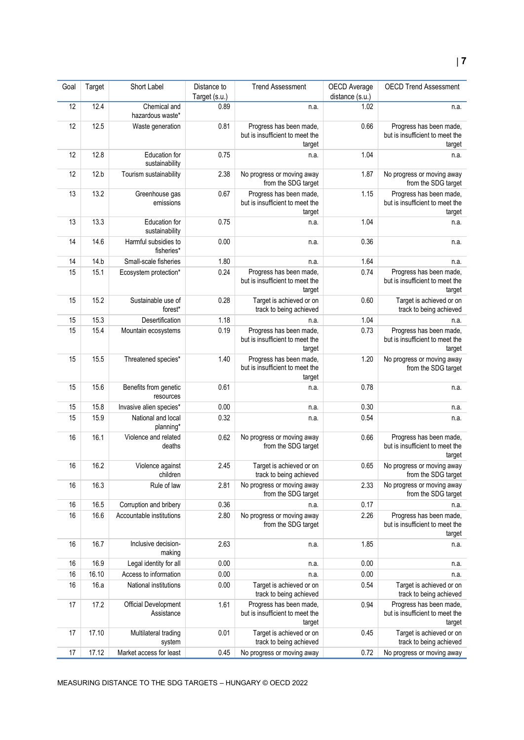#### Goal Target Short Label Distance to Target (s.u.) Trend Assessment | OECD Average distance (s.u.) OECD Trend Assessment 12 12.4 Chemical and hazardous waste\* 0.89 n.a. 1.02 n.a. 12 12.5 Waste generation 0.81 Progress has been made, but is insufficient to meet the target 0.66 Progress has been made, but is insufficient to meet the target 12 12.8 Education for sustainability 0.75 n.a. 1.04 n.a. 12 12.b Tourism sustainability 2.38 No progress or moving away from the SDG target 1.87 No progress or moving away from the SDG target 13 13.2 Greenhouse gas emissions 0.67 Progress has been made, but is insufficient to meet the target 1.15 **Progress has been made,** but is insufficient to meet the target 13 13.3 Education for sustainability 0.75 **n.a.** n.a. 1.04 **n.a.** n.a. 14 14.6 Harmful subsidies to fisheries\* 0.00 n.a. 0.36 n.a. 14 14.b Small-scale fisheries 1.80 n.a. 1.64 1.64 n.a. 15 15.1 Ecosystem protection\* 0.24 Progress has been made, but is insufficient to meet the target 0.74 Progress has been made, but is insufficient to meet the target 15 15.2 Sustainable use of forest\* 0.28 Target is achieved or on track to being achieved 0.60 Target is achieved or on track to being achieved 15 15.3 Desertification 1.18 n.a. 1.04 n.a. 1.04 n.a. 15 15.4 Mountain ecosystems 0.19 Progress has been made, but is insufficient to meet the target 0.73 Progress has been made, but is insufficient to meet the target 15 15.5 Threatened species<sup>\*</sup> 1.40 Progress has been made, but is insufficient to meet the target 1.20 No progress or moving away from the SDG target 15 15.6 Benefits from genetic resources 0.61 n.a. 0.78 n.a. 15 15.8 Invasive alien species\* 0.00 n.a. 0.30 n.a. 0.30 n.a. 15 15.9 National and local planning\* 0.32 **n.a.** n.a. 0.54 **n.a.** 0.54 **n.a.** 16 16.1 Violence and related deaths 0.62 No progress or moving away from the SDG target 0.66 Progress has been made, but is insufficient to meet the target 16 16.2 Violence against children 2.45 Target is achieved or on track to being achieved 0.65 No progress or moving away from the SDG target 16 16.3 Rule of law 2.81 No progress or moving away from the SDG target 2.33 No progress or moving away from the SDG target 16 16.5 Corruption and bribery 0.36 n.a. 1.17 0.17 n.a. 16 16.6 Accountable institutions 2.80 No progress or moving away from the SDG target 2.26 Progress has been made, but is insufficient to meet the target 16 16.7 Inclusive decisionmaking 2.63 n.a. 1.85 n.a. 16 16.9 Legal identity for all 0.00 n.a. 0.00 n.a. 0.00 n.a. 16 16.10 Access to information 0.00 n.a. 0.00 n.a. 0.00 n.a. 16 16.a National institutions 0.00 Target is achieved or on track to being achieved 0.54 Target is achieved or on track to being achieved 17 17.2 Official Development Assistance 1.61 Progress has been made, but is insufficient to meet the target 0.94 Progress has been made, but is insufficient to meet the target 17 17.10 Multilateral trading system 0.01 Target is achieved or on track to being achieved 0.45 Target is achieved or on track to being achieved 17 17.12 Market access for least 0.45 No progress or moving away 0.72 No progress or moving away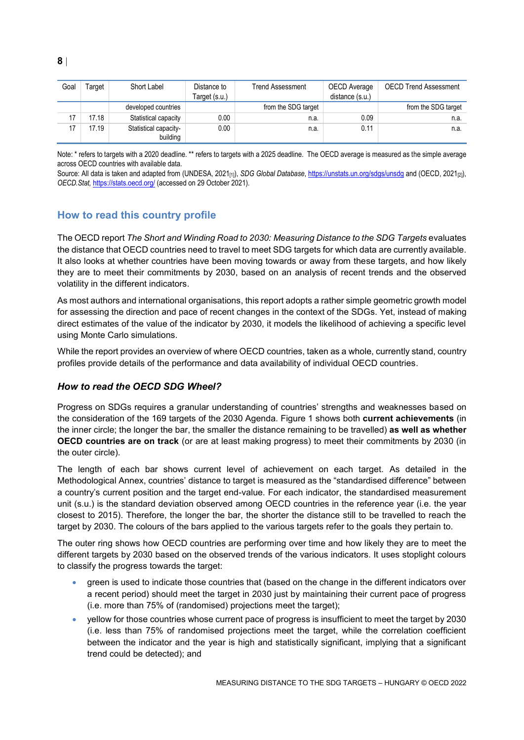| Goal | Target | Short Label                       | Distance to<br>Target (s.u.) | Trend Assessment    | OECD Average<br>distance (s.u.) | <b>OECD Trend Assessment</b> |
|------|--------|-----------------------------------|------------------------------|---------------------|---------------------------------|------------------------------|
|      |        | developed countries               |                              | from the SDG target |                                 | from the SDG target          |
|      | 17.18  | Statistical capacity              | 0.00                         | n.a.                | 0.09                            | n.a.                         |
| 47   | 17.19  | Statistical capacity-<br>building | 0.00                         | n.a.                | 0.11                            | n.a.                         |

Note: \* refers to targets with a 2020 deadline. \*\* refers to targets with a 2025 deadline. The OECD average is measured as the simple average across OECD countries with available data.

Source: All data is taken and adapted from (UNDESA, 2021<sub>[1]</sub>), *SDG Global Database*[, https://unstats.un.org/sdgs/unsdg](https://unstats.un.org/sdgs/unsdg) and (OECD, 2021<sub>[2]</sub>), *OECD.Stat,* <https://stats.oecd.org/> (accessed on 29 October 2021).

# <span id="page-7-0"></span>**How to read this country profile**

The OECD report *The Short and Winding Road to 2030: Measuring Distance to the SDG Targets* evaluates the distance that OECD countries need to travel to meet SDG targets for which data are currently available. It also looks at whether countries have been moving towards or away from these targets, and how likely they are to meet their commitments by 2030, based on an analysis of recent trends and the observed volatility in the different indicators.

As most authors and international organisations, this report adopts a rather simple geometric growth model for assessing the direction and pace of recent changes in the context of the SDGs. Yet, instead of making direct estimates of the value of the indicator by 2030, it models the likelihood of achieving a specific level using Monte Carlo simulations.

While the report provides an overview of where OECD countries, taken as a whole, currently stand, country profiles provide details of the performance and data availability of individual OECD countries.

### *How to read the OECD SDG Wheel?*

Progress on SDGs requires a granular understanding of countries' strengths and weaknesses based on the consideration of the 169 targets of the 2030 Agenda. [Figure](#page-0-0) 1 shows both **current achievements** (in the inner circle; the longer the bar, the smaller the distance remaining to be travelled) **as well as whether OECD countries are on track** (or are at least making progress) to meet their commitments by 2030 (in the outer circle).

The length of each bar shows current level of achievement on each target. As detailed in the Methodological Annex, countries' distance to target is measured as the "standardised difference" between a country's current position and the target end-value. For each indicator, the standardised measurement unit (s.u.) is the standard deviation observed among OECD countries in the reference year (i.e. the year closest to 2015). Therefore, the longer the bar, the shorter the distance still to be travelled to reach the target by 2030. The colours of the bars applied to the various targets refer to the goals they pertain to.

The outer ring shows how OECD countries are performing over time and how likely they are to meet the different targets by 2030 based on the observed trends of the various indicators. It uses stoplight colours to classify the progress towards the target:

- green is used to indicate those countries that (based on the change in the different indicators over a recent period) should meet the target in 2030 just by maintaining their current pace of progress (i.e. more than 75% of (randomised) projections meet the target);
- yellow for those countries whose current pace of progress is insufficient to meet the target by 2030 (i.e. less than 75% of randomised projections meet the target, while the correlation coefficient between the indicator and the year is high and statistically significant, implying that a significant trend could be detected); and